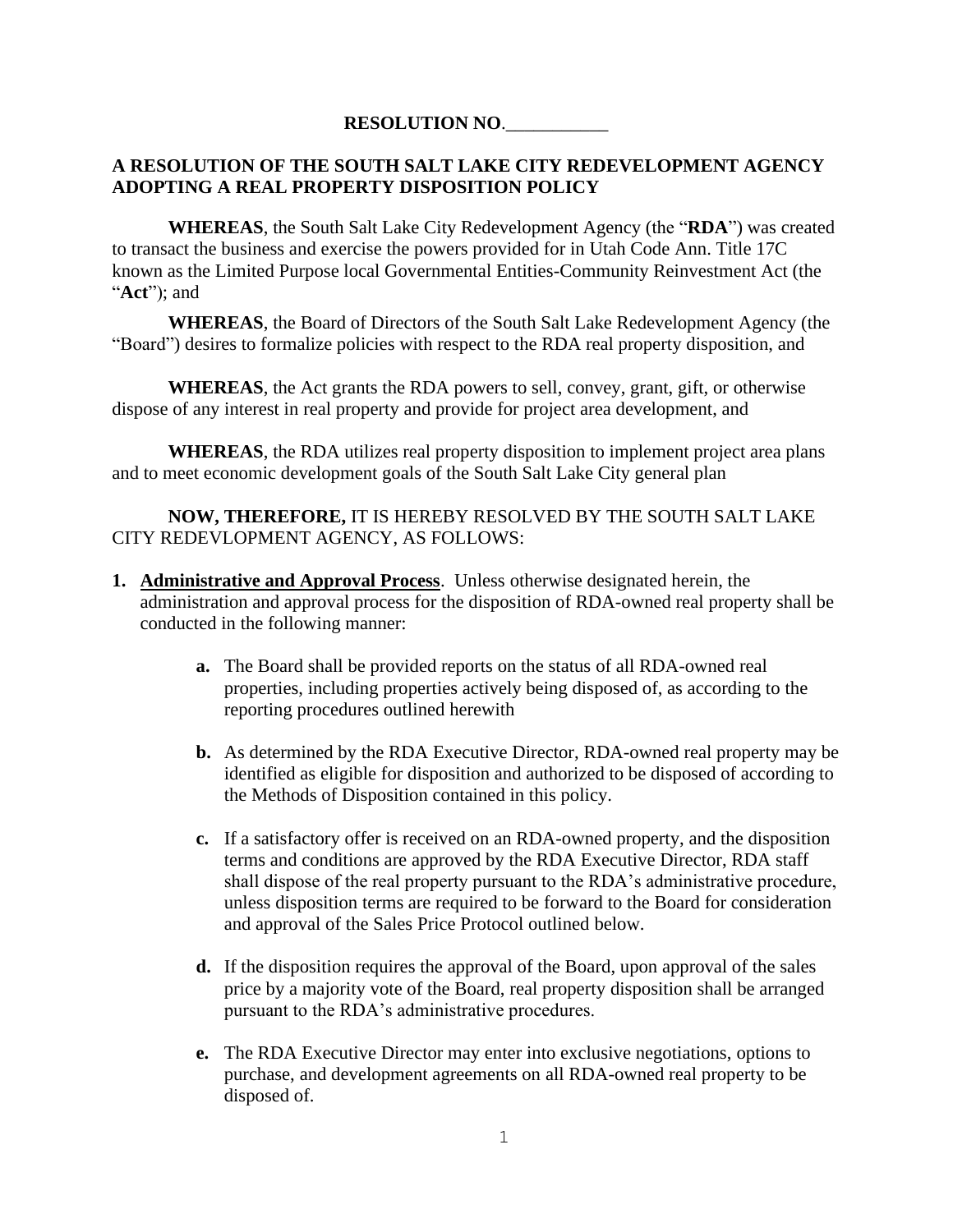## **RESOLUTION NO**.\_\_\_\_\_\_\_\_\_\_\_

## **A RESOLUTION OF THE SOUTH SALT LAKE CITY REDEVELOPMENT AGENCY ADOPTING A REAL PROPERTY DISPOSITION POLICY**

**WHEREAS**, the South Salt Lake City Redevelopment Agency (the "**RDA**") was created to transact the business and exercise the powers provided for in Utah Code Ann. Title 17C known as the Limited Purpose local Governmental Entities-Community Reinvestment Act (the "**Act**"); and

**WHEREAS**, the Board of Directors of the South Salt Lake Redevelopment Agency (the "Board") desires to formalize policies with respect to the RDA real property disposition, and

**WHEREAS**, the Act grants the RDA powers to sell, convey, grant, gift, or otherwise dispose of any interest in real property and provide for project area development, and

**WHEREAS**, the RDA utilizes real property disposition to implement project area plans and to meet economic development goals of the South Salt Lake City general plan

**NOW, THEREFORE,** IT IS HEREBY RESOLVED BY THE SOUTH SALT LAKE CITY REDEVLOPMENT AGENCY, AS FOLLOWS:

- **1. Administrative and Approval Process**. Unless otherwise designated herein, the administration and approval process for the disposition of RDA-owned real property shall be conducted in the following manner:
	- **a.** The Board shall be provided reports on the status of all RDA-owned real properties, including properties actively being disposed of, as according to the reporting procedures outlined herewith
	- **b.** As determined by the RDA Executive Director, RDA-owned real property may be identified as eligible for disposition and authorized to be disposed of according to the Methods of Disposition contained in this policy.
	- **c.** If a satisfactory offer is received on an RDA-owned property, and the disposition terms and conditions are approved by the RDA Executive Director, RDA staff shall dispose of the real property pursuant to the RDA's administrative procedure, unless disposition terms are required to be forward to the Board for consideration and approval of the Sales Price Protocol outlined below.
	- **d.** If the disposition requires the approval of the Board, upon approval of the sales price by a majority vote of the Board, real property disposition shall be arranged pursuant to the RDA's administrative procedures.
	- **e.** The RDA Executive Director may enter into exclusive negotiations, options to purchase, and development agreements on all RDA-owned real property to be disposed of.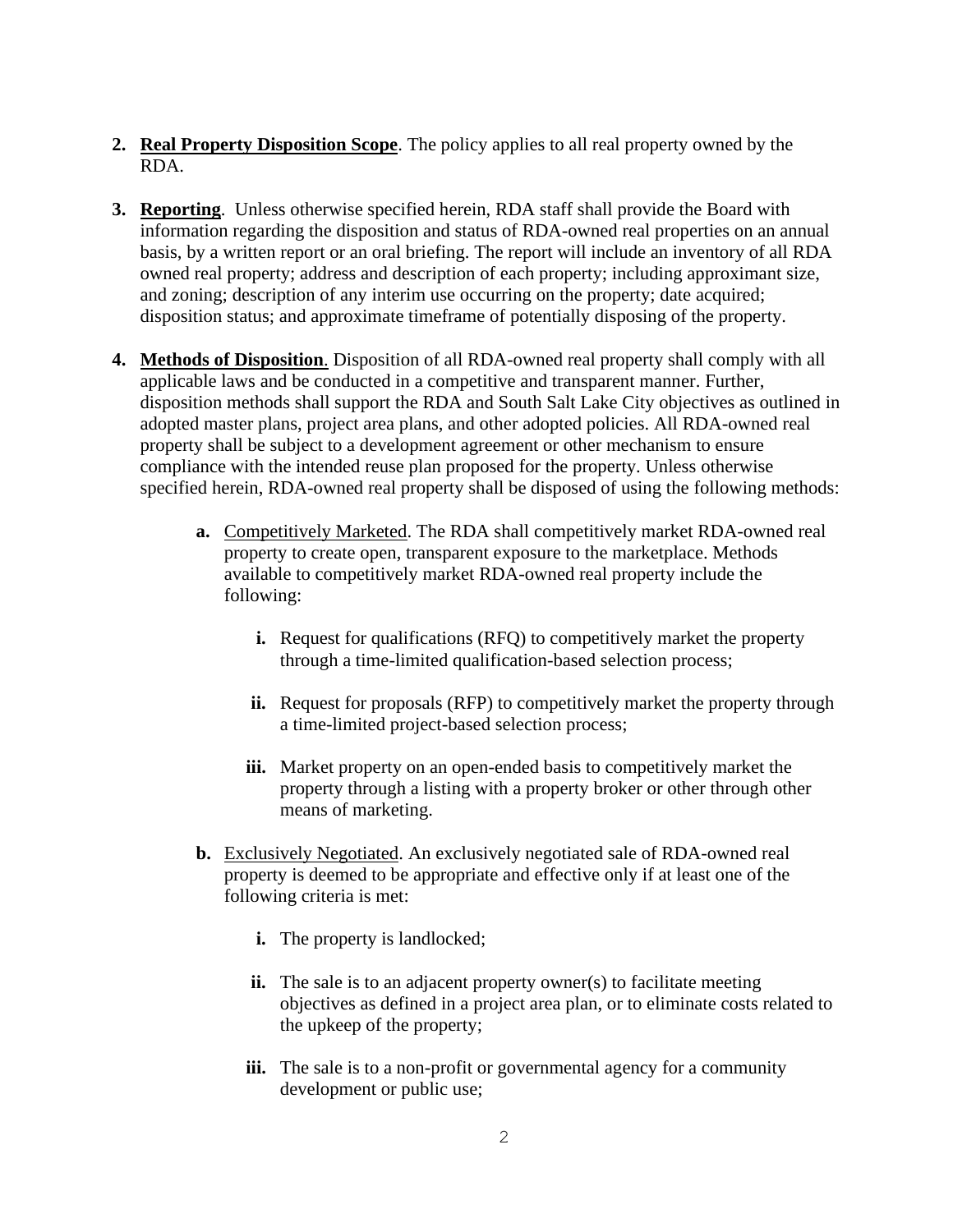- **2. Real Property Disposition Scope**. The policy applies to all real property owned by the RDA.
- **3. Reporting**. Unless otherwise specified herein, RDA staff shall provide the Board with information regarding the disposition and status of RDA-owned real properties on an annual basis, by a written report or an oral briefing. The report will include an inventory of all RDA owned real property; address and description of each property; including approximant size, and zoning; description of any interim use occurring on the property; date acquired; disposition status; and approximate timeframe of potentially disposing of the property.
- **4. Methods of Disposition**. Disposition of all RDA-owned real property shall comply with all applicable laws and be conducted in a competitive and transparent manner. Further, disposition methods shall support the RDA and South Salt Lake City objectives as outlined in adopted master plans, project area plans, and other adopted policies. All RDA-owned real property shall be subject to a development agreement or other mechanism to ensure compliance with the intended reuse plan proposed for the property. Unless otherwise specified herein, RDA-owned real property shall be disposed of using the following methods:
	- **a.** Competitively Marketed. The RDA shall competitively market RDA-owned real property to create open, transparent exposure to the marketplace. Methods available to competitively market RDA-owned real property include the following:
		- **i.** Request for qualifications (RFQ) to competitively market the property through a time-limited qualification-based selection process;
		- **ii.** Request for proposals (RFP) to competitively market the property through a time-limited project-based selection process;
		- **iii.** Market property on an open-ended basis to competitively market the property through a listing with a property broker or other through other means of marketing.
	- **b.** Exclusively Negotiated. An exclusively negotiated sale of RDA-owned real property is deemed to be appropriate and effective only if at least one of the following criteria is met:
		- **i.** The property is landlocked;
		- **ii.** The sale is to an adjacent property owner(s) to facilitate meeting objectives as defined in a project area plan, or to eliminate costs related to the upkeep of the property;
		- iii. The sale is to a non-profit or governmental agency for a community development or public use;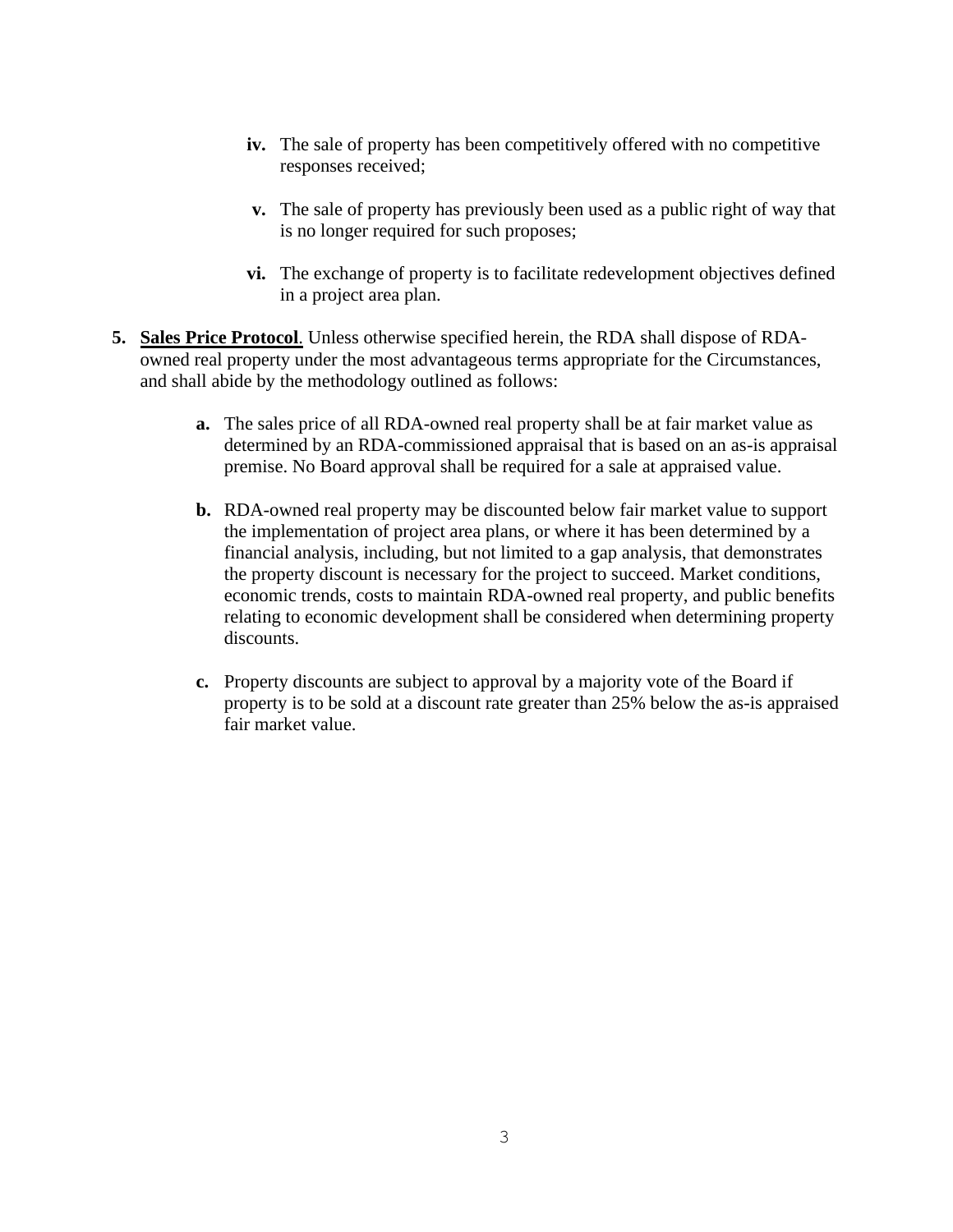- **iv.** The sale of property has been competitively offered with no competitive responses received;
- **v.** The sale of property has previously been used as a public right of way that is no longer required for such proposes;
- **vi.** The exchange of property is to facilitate redevelopment objectives defined in a project area plan.
- **5. Sales Price Protocol**. Unless otherwise specified herein, the RDA shall dispose of RDAowned real property under the most advantageous terms appropriate for the Circumstances, and shall abide by the methodology outlined as follows:
	- **a.** The sales price of all RDA-owned real property shall be at fair market value as determined by an RDA-commissioned appraisal that is based on an as-is appraisal premise. No Board approval shall be required for a sale at appraised value.
	- **b.** RDA-owned real property may be discounted below fair market value to support the implementation of project area plans, or where it has been determined by a financial analysis, including, but not limited to a gap analysis, that demonstrates the property discount is necessary for the project to succeed. Market conditions, economic trends, costs to maintain RDA-owned real property, and public benefits relating to economic development shall be considered when determining property discounts.
	- **c.** Property discounts are subject to approval by a majority vote of the Board if property is to be sold at a discount rate greater than 25% below the as-is appraised fair market value.